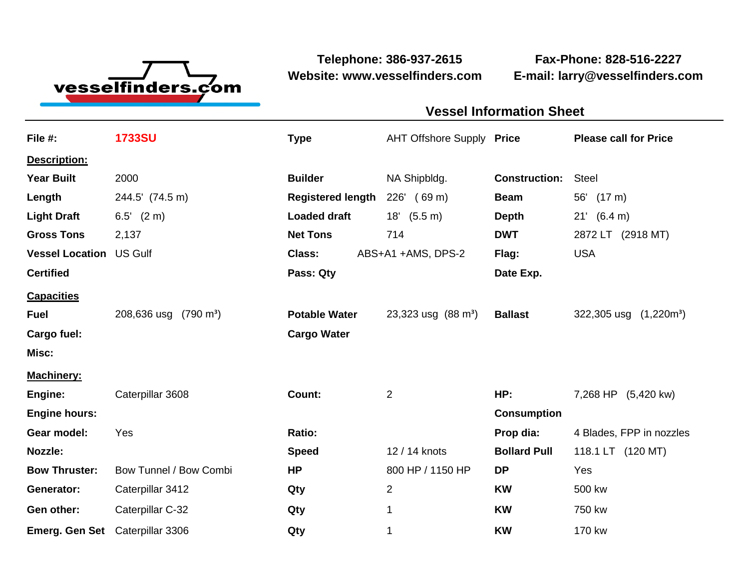

**Website: www.vesselfinders.com E-mail: larry@vesselfinders.com**

**Telephone: 386-937-2615 Fax-Phone: 828-516-2227**

## **Vessel Information Sheet Vessel Information Sheet**

| File #:                         | <b>1733SU</b>                      | <b>Type</b>              | AHT Offshore Supply Price     |                      | <b>Please call for Price</b> |
|---------------------------------|------------------------------------|--------------------------|-------------------------------|----------------------|------------------------------|
| Description:                    |                                    |                          |                               |                      |                              |
| <b>Year Built</b>               | 2000                               | <b>Builder</b>           | NA Shipbldg.                  | <b>Construction:</b> | <b>Steel</b>                 |
| Length                          | 244.5' (74.5 m)                    | <b>Registered length</b> | (69 <sub>m</sub> )<br>226'    | <b>Beam</b>          | 56' (17 m)                   |
| <b>Light Draft</b>              | $6.5'$ $(2 \text{ m})$             | <b>Loaded draft</b>      | (5.5 m)<br>18'                | <b>Depth</b>         | $21'$ (6.4 m)                |
| <b>Gross Tons</b>               | 2,137                              | <b>Net Tons</b>          | 714                           | <b>DWT</b>           | 2872 LT (2918 MT)            |
| <b>Vessel Location US Gulf</b>  |                                    | Class:                   | ABS+A1 +AMS, DPS-2            | Flag:                | <b>USA</b>                   |
| <b>Certified</b>                |                                    | Pass: Qty                |                               | Date Exp.            |                              |
| <b>Capacities</b>               |                                    |                          |                               |                      |                              |
| <b>Fuel</b>                     | 208,636 usg<br>$(790 \text{ m}^3)$ | <b>Potable Water</b>     | 23,323 usg $(88 \text{ m}^3)$ | <b>Ballast</b>       | 322,305 usg<br>$(1,220m^3)$  |
| Cargo fuel:                     |                                    | <b>Cargo Water</b>       |                               |                      |                              |
| Misc:                           |                                    |                          |                               |                      |                              |
| <b>Machinery:</b>               |                                    |                          |                               |                      |                              |
| Engine:                         | Caterpillar 3608                   | Count:                   | $\overline{2}$                | HP:                  | 7,268 HP (5,420 kw)          |
| <b>Engine hours:</b>            |                                    |                          |                               | <b>Consumption</b>   |                              |
| Gear model:                     | Yes                                | Ratio:                   |                               | Prop dia:            | 4 Blades, FPP in nozzles     |
| <b>Nozzle:</b>                  |                                    | <b>Speed</b>             | 12 / 14 knots                 | <b>Bollard Pull</b>  | 118.1 LT (120 MT)            |
| <b>Bow Thruster:</b>            | Bow Tunnel / Bow Combi             | <b>HP</b>                | 800 HP / 1150 HP              | <b>DP</b>            | Yes                          |
| Generator:                      | Caterpillar 3412                   | Qty                      | 2                             | <b>KW</b>            | 500 kw                       |
| Gen other:                      | Caterpillar C-32                   | Qty                      | 1                             | <b>KW</b>            | 750 kw                       |
| Emerg. Gen Set Caterpillar 3306 |                                    | Qty                      | $\mathbf 1$                   | <b>KW</b>            | 170 kw                       |